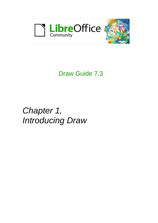

# Draw Guide 7.3

# *Chapter 1, Introducing Draw*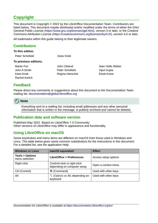# <span id="page-1-4"></span>**Copyright**

This document is Copyright © 2022 by the LibreOffice Documentation Team. Contributors are listed below. This document maybe distributed and/or modified under the terms of either the GNU General Public License (<https://www.gnu.org/licenses/gpl.html>), version 3 or later, or the Creative Commons Attribution License (<https://creativecommons.org/licenses/by/4.0/>), version 4.0 or later.

All trademarks within this guide belong to their legitimate owners.

## <span id="page-1-3"></span>**Contributors**

#### **To this edition.**

Peter Schofield Kees Kriek

#### **To previous editions.**

Rachel Kartch

John A Smith **Peter Schofield** Vipul Gupta Kees Kriek **Regina Henschel Elzett Kotze** 

Martin Fox **John Cleland** John Clean Jean Hollis Weber

## <span id="page-1-2"></span>**Feedback**

Please direct any comments or suggestions about this document to the Documentation Team mailing list: [documentation@global.libreoffice.org](mailto:documentation@global.libreoffice.org)



Everything sent to a mailing list, including email addresses and any other personal information that is written in the message, is publicly archived and cannot be deleted.

## <span id="page-1-1"></span>**Publication date and software version**

Published May 2022. Based on LibreOffice 7.3 Community. Other versions of LibreOffice may differ in appearance and functionality.

## <span id="page-1-0"></span>**Using LibreOffice on macOS**

Some keystrokes and menu items are different on macOS from those used in Windows and Linux. The table below gives some common substitutions for the instructions in this document. For a detailed list, see the application Help.

| <b>Windows or Linux</b>                     | macOS equivalent                                            | <b>Effect</b>        |  |  |  |  |  |
|---------------------------------------------|-------------------------------------------------------------|----------------------|--|--|--|--|--|
| <b>Tools &gt; Options</b><br>menu selection | <b>LibreOffice &gt; Preferences</b>                         | Access setup options |  |  |  |  |  |
| Right-click                                 | Control+click or right-click<br>depending on computer setup | Open a context menu  |  |  |  |  |  |
| Ctrl (Control)                              | 3 (Command)                                                 | Used with other keys |  |  |  |  |  |
| Alt                                         | $\Upsilon$ (Option) or Alt, depending on<br>keyboard        | Used with other keys |  |  |  |  |  |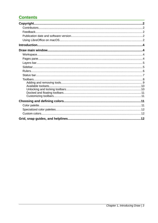# **Contents**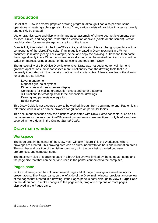# <span id="page-3-3"></span>**Introduction**

LibreOffice Draw is a vector graphics drawing program, although it can also perform some operations on raster graphics (pixels). Using Draw, a wide variety of graphical images can easily and quickly be created.

Vector graphics store and display an image as an assembly of simple geometric elements such as lines, circles, and polygons, rather than a collection of pixels (points on the screen). Vector graphics allow for easier storage and scaling of the image.

Draw is fully integrated into the LibreOffice suite, and this simplifies exchanging graphics with all components of the LibreOffice suite. If an image is created in Draw, reusing it in a Writer document is relatively easy. For example, select and copy the drawing in Draw and then paste the image directly into a Writer document. Also, drawings can be worked on directly from within Writer or Impress, using a subset of the functions and tools from Draw.

The functionality of LibreOffice Draw is extensive. Draw was not designed to rival high-end graphics applications, but it possesses more functionality than the drawing tools that are generally integrated with the majority of office productivity suites. A few examples of the drawing functions are as follows:

Layer management Magnetic grid-point system Dimensions and measurement display Connectors for making organization charts and other diagrams 3D functions for creating small three-dimensional drawings Drawing and page-style integration Bézier curves

This Draw Guide is not a course book to be worked through from beginning to end. Rather, it is a reference work in which can be browsed for guidance on particular topics.

This document describes only the functions associated with Draw. Some concepts, such as file management or the way the LibreOffice environment works, are mentioned only briefly and are covered in more detail in the *Getting Started Guide*.

## <span id="page-3-2"></span>**Draw main window**

## <span id="page-3-1"></span>**Workspace**

The large area in the center of the Draw main window (Figure [1](#page-4-2)) is the Workspace where drawings are created. This drawing area can be surrounded with toolbars and information areas. The number and position of the visible tools vary with the task being carried out, user preferences, and computer setup.

The maximum size of a drawing page in LibreOffice Draw is limited by the computer setup and the page size that that can be set and used in the printer connected to the computer.

### <span id="page-3-0"></span>**Pages pane**

In Draw, drawings can be split over several pages. Multi-page drawings are used mainly for presentations. The Pages pane, on the left side of the Draw main window, provides an overview of the pages that created in a drawing. If the Pages pane is not visible, go to **View > Page Pane** on the Menu bar. To make changes to the page order, drag and drop one or more pages displayed in the Pages pane.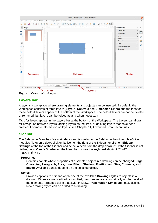

<span id="page-4-2"></span>*Figure 1: Draw main window*

## <span id="page-4-1"></span>**Layers bar**

A layer is a workplace where drawing elements and objects can be inserted. By default, the Workspace consists of three layers (**Layout**, **Controls** and **Dimension Lines**) and the tabs for these default layers appear at the bottom of the Workspace. The default layers cannot be deleted or renamed, but layers can be added as and when necessary.

Tabs for layers appear in the Layers bar at the bottom of the Workspace. The Layers bar allows for navigation between layers, adding layers as required, or deleting layers that have been created. For more information on layers, see Chapter 11, Advanced Draw Techniques.

## <span id="page-4-0"></span>**Sidebar**

The Sidebar in Draw has five main decks and is similar to the Sidebar in the other LibreOffice modules. To open a deck, click on its icon on the right of the Sidebar, or click on **Sidebar Settings** at the top of the Sidebar and select a deck from the drop-down list. If the Sidebar is not visible, go to **View > Sidebar** on the Menu bar, or use the keyboard shortcut *Ctrl+F5*  (macOS ⌘+*F5*).

### **Properties**

Contains panels where properties of a selected object in a drawing can be changed: **Page**, **Character**, **Paragraph**, **Area**, **Line, Effect**, **Shadow**, **Position and Size**, **Columns**, and **Image**. Available panels depend on the selected object.

#### **Styles**

Provides options to edit and apply one of the available **Drawing Styles** to objects in a drawing. When a style is edited or modified, the changes are automatically applied to all of the elements formatted using that style. In Draw, **Presentation Styles** are not available. New drawing styles can be added to a drawing.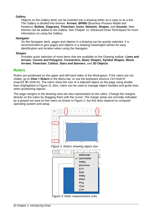#### **Gallery**

Objects on the Gallery deck can be inserted into a drawing either as a copy or as a link. The Gallery is divided into themes: **Arrows**, **BPMN** (Business Process Model and Notation), **Bullets**, **Diagrams**, **Flowchart**, **Icons**, **Network**, **Shapes**, and **Sounds**. New themes can be added to the Gallery. See Chapter 11, Advanced Draw Techniques for more information on using the Gallery.

#### **Navigator**

On the Navigator deck, pages and objects in a drawing can be quickly selected. It is recommended to give pages and objects in a drawing meaningful names for easy identification and location when using the Navigator.

#### **Shapes**

Provides quick selection of most items that are available on the Drawing toolbar: **Lines and Arrows**, **Curves and Polygons**, **Connectors**, **Basic Shapes**, **Symbol Shapes**, **Block Arrows**, **Flowchart**, **Callout**, **Stars and Banners**, and **3D Objects**.

## <span id="page-5-0"></span>**Rulers**

Rulers are positioned on the upper and left-hand sides of the Workspace. If the rulers are not visible, go to **View > Rulers** in the Menu bar, or use the keyboard shortcut *Ctrl+Shift+R* (macOS ⌘+*Shift+R*). The rulers show the size of a selected object on the page using double lines (highlighted in Figure [2\)](#page-5-1). Also, rulers can be used to manage object handles and guide lines when positioning objects.

The page margins in the drawing area are also represented on the rulers. Change the margins directly on the rulers by dragging them with the cursor. The margin areas are normally indicated by a grayed out area on the rulers as shown in Figure [2,](#page-5-1) but this does depend on computer operating system and setup.



<span id="page-5-1"></span>*Figure 2: Rulers showing object size*



<span id="page-5-2"></span>*Figure 3: Ruler measurement units*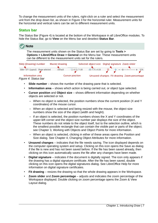To change the measurement units of the rulers, right-click on a ruler and select the measurement unit from the drop down list, as shown in Figure [3](#page-5-2) for the horizontal ruler. Measurement units for the horizontal and vertical rulers can be set to different measurement units.

## <span id="page-6-0"></span>**Status bar**

The Status Bar (Figure [4](#page-6-1)) is located at the bottom of the Workspace in all LibreOffice modules. To hide the Status Bar, go to **View** on the Menu bar and deselect **Status Bar**.



| Slide (Drawing) number                   | Master drawing |                        | Selected object size Digital signature Zoom slider |  |                                             |     |
|------------------------------------------|----------------|------------------------|----------------------------------------------------|--|---------------------------------------------|-----|
| Slide 1 of 1 (Layout) Shape selected     | Default        | $\pm 0.75/1.00$        | $\pm 7.75 \times 4.50$                             |  |                                             | 32% |
| Information area<br>Figure 4: Status bar |                | <b>Cursor position</b> |                                                    |  | Unsaved changes Fit drawing Zoom percentage |     |

- <span id="page-6-1"></span>• **Slide number** – shows the number of the drawing pane that is selected.
- **Information area** shows which action is being carried out, or object type selected.
- **Cursor position** and **Object size** shows different information depending on whether objects are selected or not.
	- When no object is selected, the position numbers show the current position (X and Y coordinates) of the mouse cursor.
	- When an object is selected and being resized with the mouse, the object size numbers show the size of the object (width and height).
	- If an object is selected, the position numbers shows the X and Y coordinates of the upper-left corner and the object size number pair displays the size of the object. These numbers do not relate to the object itself, but to the selection outline, which is the smallest possible rectangle that can contain the visible part or parts of the object; see Chapter 3, Working with Objects and Object Points for more information.
	- When an object is selected, clicking in either of these areas opens the Position and Size dialog. See Chapter 4, Changing Object Attributes for more information.
- **Unsaved changes** indicates that the file needs saving. The icon displayed depends on the computer operating system and setup. Clicking on this icon opens the Save as dialog if the file is new and has not been saved before. If the file has been saved already, then clicking on this icon automatically saves the file after any changes have been made.
- **Digital signature** indicates if the document is digitally signed. The icon only appears if the drawing has a digital signature certificate. After the file has been saved, double clicking on this icon opens the digital signatures dialog. See LibreOffice Help for more information on digital signature certificates.
- **Fit drawing** resizes the drawing so that the whole drawing appears in the Workspace.
- **Zoom slider** and **Zoom percentage** adjusts and indicates the zoom percentage of the Workspace displayed. Double clicking on zoom percentage opens the Zoom & View Layout dialog.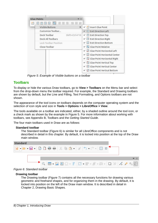| <b>Glue Points</b><br>$\blacktriangledown$ $\times$ |                                                |
|-----------------------------------------------------|------------------------------------------------|
| $\mathbb{R}$<br>$\times$ $\times$<br>81<br>×<br>۲   |                                                |
| r<br>Visible Buttons                                | ↓ <b><b>M</b> Insert Glue Point</b>            |
| Customize Toolbar                                   | $\times$ $\times$ Exit Direction Left          |
| Dock Toolbar<br>Shift+Ctrl+F10                      | $\checkmark$ Exit Direction Top                |
| Dock All Toolbars                                   | ← 图 Exit Direction Right                       |
| Lock Toolbar Position                               | ✓ 图 Exit Direction Bottom                      |
| Close Toolbar                                       | $\vee$ % Glue Point Relative                   |
|                                                     | √ F Glue Point Horizontal Left                 |
|                                                     | √ X Glue Point Horizontal Center               |
|                                                     | ✓ Li Glue Point Horizontal Right               |
|                                                     | √ ⊠ Glue Point Vertical Top                    |
|                                                     | $\vee$ $\mathbb{R}$ Glue Point Vertical Center |
|                                                     | IN Glue Point Vertical Bottom                  |

<span id="page-7-2"></span>*Figure 5: Example of Visible buttons on a toolbar*

## <span id="page-7-0"></span>**Toolbars**

To display or hide the various Draw toolbars, go to **View > Toolbars** on the Menu bar and select from the drop-down menu the toolbar required. For example, the Standard and Drawing toolbars are shown by default, but the Line and Filling, Text Formatting, and Options toolbars are not shown.

The appearance of the tool icons on toolbars depends on the computer operating system and the selection of icon style and size in **Tools > Options > LibreOffice > View**.

The tools available on a toolbar are indicated, either, by a shaded outline around the tool icon, or a check mark as shown by the example in Figure [5.](#page-7-2) For more information about working with toolbars, see Appendix B, Toolbars and the *Getting Started Guide*.

The four main toolbars used in Draw are as follows:

#### **Standard toolbar**

The Standard toolbar (Figure [6\)](#page-7-1) is similar for all LibreOffice components and is not described in detail in this chapter. By default, it is locked into position at the top of the Draw main window.



*Figure 6: Standard toolbar*

#### **Drawing toolbar**

<span id="page-7-1"></span>The Drawing toolbar (Figure [7\)](#page-8-1) contains all the necessary functions for drawing various geometric and freehand shapes, and for organizing them in the drawing. By default, it is locked into position on the left of the Draw main window. It is described in detail in Chapter 2, Drawing Basic Shapes.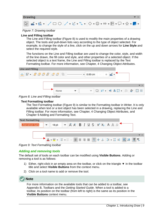

<span id="page-8-1"></span>*Figure 7: Drawing toolbar*

#### **Line and Filling toolbar**

The Line and Filling toolbar (Figure [8](#page-8-3)) is used to modify the main properties of a drawing object. The tools and pull-down lists vary according to the type of object selected. For example, to change the style of a line, click on the up and down arrows for **Line Style** and select the required style.

The functions on the Line and Filling toolbar are used to change the color, style, and width of the line drawn, the fill color and style, and other properties of a selected object. If the selected object is a text frame, the Line and Filling toolbar is replaced by the Text Formatting toolbar. For more information, see Chapter, 4 Changing Object Attributes.



*Figure 8: Line and Filling toolbar*

#### **Text Formatting toolbar**

<span id="page-8-3"></span>The Text Formatting toolbar (Figure [9\)](#page-8-2) is similar to the Formatting toolbar in Writer. It is only available when text or a text object has been selected in a drawing, replacing the Line and Filling toolbar. For more information, see Chapter, 4 Changing Object Attributes, and Chapter 9 Adding and Formatting Text.

| <b>Text Formatting</b> |                                                                                                                                                            |  |  |  |  |  |  |                        |  |
|------------------------|------------------------------------------------------------------------------------------------------------------------------------------------------------|--|--|--|--|--|--|------------------------|--|
| <b>Liberation Sans</b> | 18 pt $\bullet$ $\overline{A}$ $\overline{A}$ $\overline{B}$ $I$ $\underline{U}$ $\overline{S}$ $X^2$ $X_2$ $\overline{A}$ $\underline{A}$ $\underline{A}$ |  |  |  |  |  |  |                        |  |
|                        |                                                                                                                                                            |  |  |  |  |  |  |                        |  |
|                        |                                                                                                                                                            |  |  |  |  |  |  |                        |  |
|                        |                                                                                                                                                            |  |  |  |  |  |  | A.W.E.E.FEEEF# LE.N#AW |  |

<span id="page-8-2"></span>*Figure 9: Text Formatting toolbar*

#### <span id="page-8-0"></span>*Adding and removing tools*

The default set of tools on each toolbar can be modified using **Visible Buttons**. Adding or removing a tool is as follows:

- 1) Either, right-click in an empty area on the toolbar, or click on the triangle  $\blacktriangledown$  in the toolbar title and select **Visible Buttons** from the context menu.
- 2) Click on a tool name to add or remove the tool.



For more information on the available tools that can be added to a toolbar, see Appendix B, Toolbars and the *Getting Started Guide*. When a tool is added to a toolbar, its position on the toolbar (from left to right) is the same as its position in the **Visible Buttons** context menu.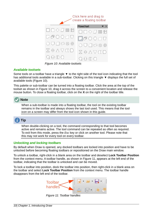

<span id="page-9-3"></span>*Figure 10: Available toolsets*

#### <span id="page-9-1"></span>*Available toolsets*

Some tools on a toolbar have a triangle  $\blacktriangledown$  to the right side of the tool icon indicating that the tool has additional tools available in a sub-toolbar. Clicking on this triangle  $\blacktriangledown$  displays the full set of available tools (Figure [10](#page-9-3)).

This palette or sub-toolbar can be turned into a floating toolbar. Click the area at the top of the toolset as shown in Figure [10](#page-9-3), drag it across the screen to a convenient location and release the mouse button. To close a floating toolbar, click on the **X** on the right of the toolbar title.

## **Note**

When a sub-toolbar is made into a floating toolbar, the tool on the existing toolbar remains in the toolbar and always shows the last tool used. This means that the tool icon on a screen may differ from the tool icon shown in this guide.

# **Tip**

When double-clicking on a tool, the command corresponding to that tool becomes active and remains active. The tool command can be repeated as often as required. To exit from this mode, press the *Esc* key or click on another tool. Please note that this may not work for every tool on every toolbar.

### <span id="page-9-0"></span>*Unlocking and locking toolbars*

By default when Draw is opened, any docked toolbars are locked into position and have to be unlocked before becoming floating toolbars or repositioned on the Draw main window.

To unlock a toolbar, right-click in a blank area on the toolbar and deselect **Lock Toolbar Position** from the context menu. A toolbar handle, as shown in Figure [11](#page-9-2), appears at the left end of the toolbar, indicating that the toolbar is unlocked and can be moved.

To lock a toolbar into position, dock the toolbar into position, then right-click in a blank area on the toolbar and select **Lock Toolbar Position** from the context menu. The toolbar handle disappears from the left end of the toolbar.

<span id="page-9-2"></span>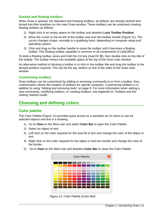#### <span id="page-10-3"></span>*Docked and floating toolbars*

When Draw is opened, the Standard and Drawing toolbars, by default, are already docked and locked into their positions on the main Draw window. These toolbars can be undocked creating floating toolbars as follows:

- 1) Right-click in an empty space on the toolbar and deselect **Lock Toolbar Position**.
- 2) Move the cursor to the far left of the toolbar and over the toolbar handle (Figure [11](#page-9-2)). The cursor changes shape, normally to a grabbing hand, depending on computer setup and operating system.
- 3) Click and drag on the toolbar handle to move the toolbar until it becomes a floating toolbar. This floating toolbar capability is common to all components of LibreOffice.

To dock a floating toolbar, press and hold the *Ctrl* key (macOS  $\mathcal{H}$ ), then double click on the title of the toolbar. The toolbar moves into available space at the top of the Draw main window.

An alternative method of docking a toolbar is to click in the toolbar title and drag the toolbar to the docked position required. This can be the top, bottom or one of the sides of the Draw main window.

#### <span id="page-10-2"></span>*Customizing toolbars*

Draw toolbars can be customized by adding or removing commands to or from a toolbar. Also, customization allows the creation of toolbars for specific purposes. Customizing toolbars is in addition to using "[Adding and removing tools](#page-8-0)" on page [9.](#page-8-0) For more information when adding a new commands, modifying toolbars, or creating toolbars, see Appendix B, Toolbars and the *Getting Started Guide*.

## <span id="page-10-1"></span>**Choosing and defining colors**

## <span id="page-10-0"></span>**Color palette**

The Color Palette (Figure [12\)](#page-10-4) provides quick access to a standard set of colors to use for selected objects and text in a drawing.

- 1) Go to **View** on the Menu bar and select **Color Bar** to open the Color Palette.
- 2) Select an object or text.
- 3) Left click on the color required for the area fill or text and change the color of the object or text.
- 4) Right click on the color required for the object or text box border and change the color of the border.
- 5) Go to **View** on the Menu bar and deselect **Color Bar** to close the Color Palette.



<span id="page-10-4"></span>*Figure 12: Color Palette (Color Bar)*